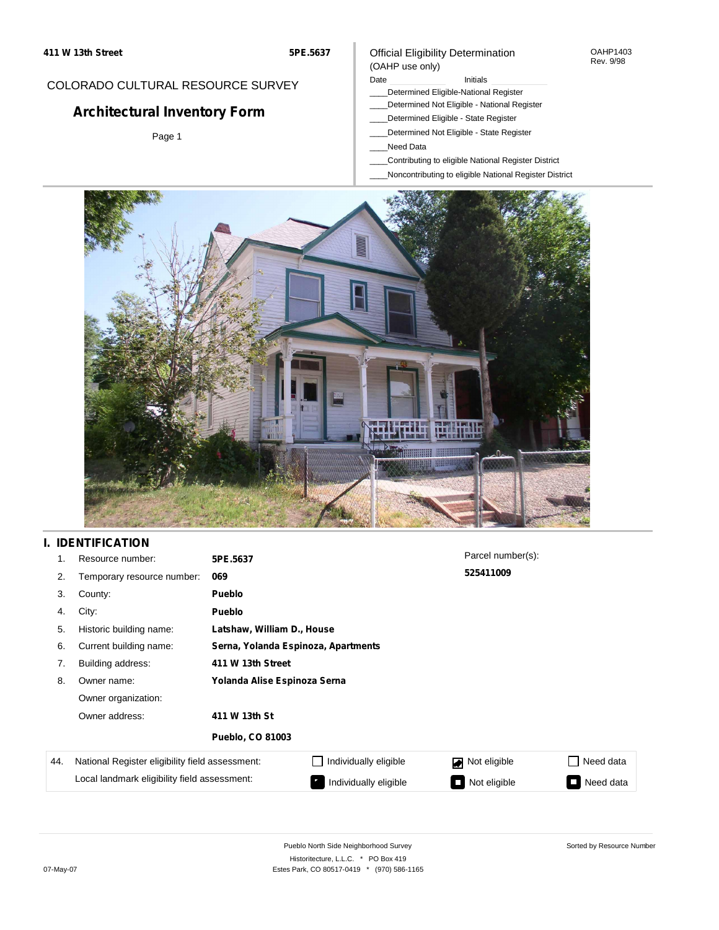### Official Eligibility Determination (OAHP use only)

## COLORADO CULTURAL RESOURCE SURVEY

# **Architectural Inventory Form**

Page 1

#### Date **Initials** Initials

- \_\_\_\_Determined Eligible-National Register
- \_\_\_\_Determined Not Eligible National Register
	- \_\_\_\_Determined Eligible State Register
- \_\_\_\_Determined Not Eligible State Register
- \_\_\_\_Need Data
- \_\_\_\_Contributing to eligible National Register District
- \_\_\_\_Noncontributing to eligible National Register District



## **I. IDENTIFICATION**

| 1.  | Resource number:                                | 5PE.5637                     |                                     | Parcel number(s): |                     |  |  |  |
|-----|-------------------------------------------------|------------------------------|-------------------------------------|-------------------|---------------------|--|--|--|
| 2.  | Temporary resource number:                      | 069                          |                                     | 525411009         |                     |  |  |  |
| 3.  | County:                                         | <b>Pueblo</b>                |                                     |                   |                     |  |  |  |
| 4.  | City:                                           | <b>Pueblo</b>                |                                     |                   |                     |  |  |  |
| 5.  | Historic building name:                         |                              | Latshaw, William D., House          |                   |                     |  |  |  |
| 6.  | Current building name:                          |                              | Serna, Yolanda Espinoza, Apartments |                   |                     |  |  |  |
| 7.  | Building address:                               | 411 W 13th Street            |                                     |                   |                     |  |  |  |
| 8.  | Owner name:                                     | Yolanda Alise Espinoza Serna |                                     |                   |                     |  |  |  |
|     | Owner organization:                             |                              |                                     |                   |                     |  |  |  |
|     | Owner address:                                  | 411 W 13th St                |                                     |                   |                     |  |  |  |
|     |                                                 | <b>Pueblo, CO 81003</b>      |                                     |                   |                     |  |  |  |
| 44. | National Register eligibility field assessment: |                              | Individually eligible               | Not eligible      | Need data           |  |  |  |
|     | Local landmark eligibility field assessment:    |                              | Individually eligible               | Not eligible<br>П | Need data<br>$\sim$ |  |  |  |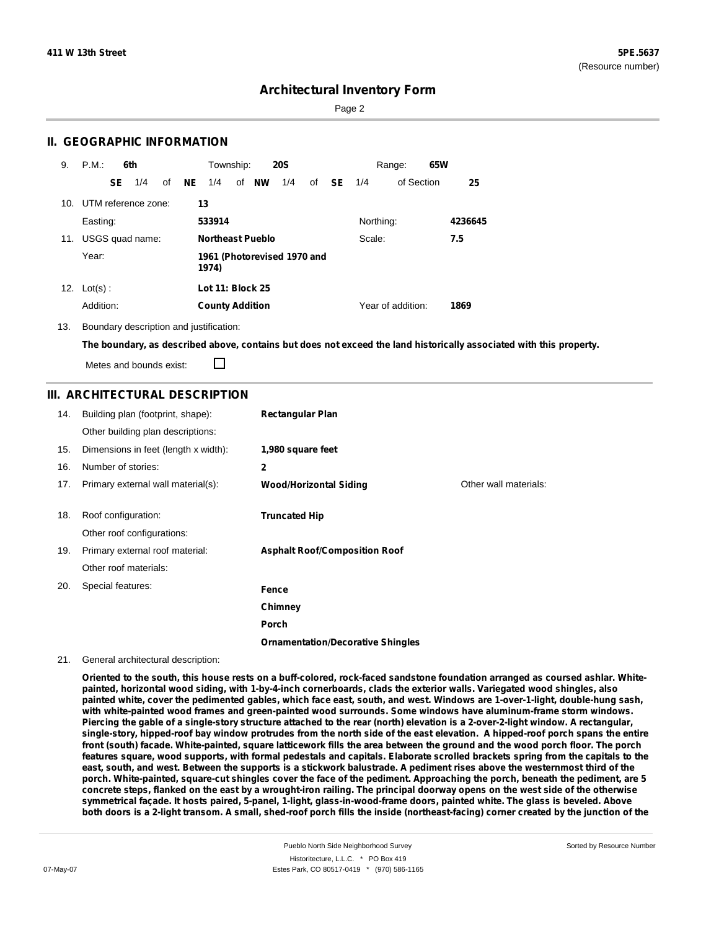Page 2

### **II. GEOGRAPHIC INFORMATION**

| 9.  | P.M.       |    | 6th                 |    |     | Township:               |       | <b>20S</b>                  |    |               |           | Range:            | 65W |         |
|-----|------------|----|---------------------|----|-----|-------------------------|-------|-----------------------------|----|---------------|-----------|-------------------|-----|---------|
|     |            | SE | 1/4                 | of | NE. | 1/4                     | of NW | 1/4                         | of | <b>SE</b> 1/4 |           | of Section        |     | 25      |
| 10. |            |    | UTM reference zone: |    | 13  |                         |       |                             |    |               |           |                   |     |         |
|     | Easting:   |    |                     |    |     | 533914                  |       |                             |    |               | Northing: |                   |     | 4236645 |
| 11. |            |    | USGS quad name:     |    |     | <b>Northeast Pueblo</b> |       |                             |    |               | Scale:    |                   |     | 7.5     |
|     | Year:      |    |                     |    |     | 1974)                   |       | 1961 (Photorevised 1970 and |    |               |           |                   |     |         |
| 12. | $Lot(s)$ : |    |                     |    |     | <b>Lot 11: Block 25</b> |       |                             |    |               |           |                   |     |         |
|     | Addition:  |    |                     |    |     | <b>County Addition</b>  |       |                             |    |               |           | Year of addition: |     | 1869    |

13. Boundary description and justification:

The boundary, as described above, contains but does not exceed the land historically associated with this property.

П Metes and bounds exist:

### **III. ARCHITECTURAL DESCRIPTION**

| 14. | Building plan (footprint, shape):    | <b>Rectangular Plan</b>                  |                       |
|-----|--------------------------------------|------------------------------------------|-----------------------|
|     | Other building plan descriptions:    |                                          |                       |
| 15. | Dimensions in feet (length x width): | 1,980 square feet                        |                       |
| 16. | Number of stories:                   | 2                                        |                       |
| 17. | Primary external wall material(s):   | <b>Wood/Horizontal Siding</b>            | Other wall materials: |
|     |                                      |                                          |                       |
| 18. | Roof configuration:                  | <b>Truncated Hip</b>                     |                       |
|     | Other roof configurations:           |                                          |                       |
| 19. | Primary external roof material:      | <b>Asphalt Roof/Composition Roof</b>     |                       |
|     | Other roof materials:                |                                          |                       |
| 20. | Special features:                    | Fence                                    |                       |
|     |                                      | Chimney                                  |                       |
|     |                                      | Porch                                    |                       |
|     |                                      | <b>Ornamentation/Decorative Shingles</b> |                       |

#### 21. General architectural description:

Oriented to the south, this house rests on a buff-colored, rock-faced sandstone foundation arranged as coursed ashlar. Whitepainted, horizontal wood siding, with 1-by-4-inch cornerboards, clads the exterior walls. Variegated wood shingles, also painted white, cover the pedimented gables, which face east, south, and west. Windows are 1-over-1-light, double-hung sash, **with white-painted wood frames and green-painted wood surrounds. Some windows have aluminum-frame storm windows.** Piercing the gable of a single-story structure attached to the rear (north) elevation is a 2-over-2-light window. A rectangular, single-story, hipped-roof bay window protrudes from the north side of the east elevation. A hipped-roof porch spans the entire front (south) facade. White-painted, square latticework fills the area between the ground and the wood porch floor. The porch features square, wood supports, with formal pedestals and capitals. Elaborate scrolled brackets spring from the capitals to the east, south, and west. Between the supports is a stickwork balustrade. A pediment rises above the westernmost third of the porch. White-painted, square-cut shingles cover the face of the pediment. Approaching the porch, beneath the pediment, are 5 concrete steps, flanked on the east by a wrought-iron railing. The principal doorway opens on the west side of the otherwise symmetrical façade. It hosts paired, 5-panel, 1-light, glass-in-wood-frame doors, painted white. The glass is beveled. Above both doors is a 2-light transom. A small, shed-roof porch fills the inside (northeast-facing) corner created by the junction of the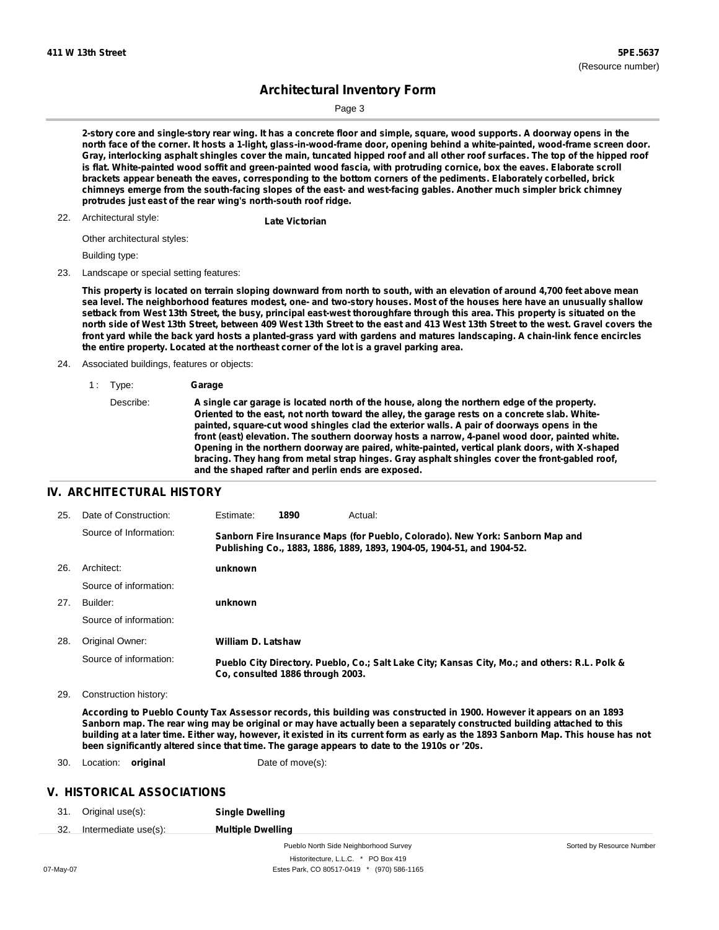Sorted by Resource Number

## **Architectural Inventory Form**

Page 3

2-story core and single-story rear wing. It has a concrete floor and simple, square, wood supports. A doorway opens in the north face of the corner. It hosts a 1-light, glass-in-wood-frame door, opening behind a white-painted, wood-frame screen door. Gray, interlocking asphalt shingles cover the main, tuncated hipped roof and all other roof surfaces. The top of the hipped roof is flat. White-painted wood soffit and green-painted wood fascia, with protruding cornice, box the eaves. Elaborate scroll brackets appear beneath the eaves, corresponding to the bottom corners of the pediments. Elaborately corbelled, brick chimneys emerge from the south-facing slopes of the east- and west-facing gables. Another much simpler brick chimney **protrudes just east of the rear wing's north-south roof ridge.**

Architectural style: 22. **Late Victorian**

Other architectural styles:

Building type:

23. Landscape or special setting features:

This property is located on terrain sloping downward from north to south, with an elevation of around 4,700 feet above mean sea level. The neighborhood features modest, one- and two-story houses. Most of the houses here have an unusually shallow setback from West 13th Street, the busy, principal east-west thoroughfare through this area. This property is situated on the north side of West 13th Street, between 409 West 13th Street to the east and 413 West 13th Street to the west. Gravel covers the front yard while the back yard hosts a planted-grass yard with gardens and matures landscaping. A chain-link fence encircles **the entire property. Located at the northeast corner of the lot is a gravel parking area.**

24. Associated buildings, features or objects:

#### 1 : Type: **Garage** Describe: **A single car garage is located north of the house, along the northern edge of the property. Oriented to the east, not north toward the alley, the garage rests on a concrete slab. Whitepainted, square-cut wood shingles clad the exterior walls. A pair of doorways opens in the front (east) elevation. The southern doorway hosts a narrow, 4-panel wood door, painted white. Opening in the northern doorway are paired, white-painted, vertical plank doors, with X-shaped bracing. They hang from metal strap hinges. Gray asphalt shingles cover the front-gabled roof, and the shaped rafter and perlin ends are exposed.**

#### **IV. ARCHITECTURAL HISTORY**

| 25. | Date of Construction:  | Estimate:                 | 1890                             | Actual:                                                                                                                                                 |
|-----|------------------------|---------------------------|----------------------------------|---------------------------------------------------------------------------------------------------------------------------------------------------------|
|     | Source of Information: |                           |                                  | Sanborn Fire Insurance Maps (for Pueblo, Colorado). New York: Sanborn Map and<br>Publishing Co., 1883, 1886, 1889, 1893, 1904-05, 1904-51, and 1904-52. |
| 26. | Architect:             | unknown                   |                                  |                                                                                                                                                         |
|     | Source of information: |                           |                                  |                                                                                                                                                         |
| 27. | Builder:               | unknown                   |                                  |                                                                                                                                                         |
|     | Source of information: |                           |                                  |                                                                                                                                                         |
| 28. | Original Owner:        | <b>William D. Latshaw</b> |                                  |                                                                                                                                                         |
|     | Source of information: |                           | Co. consulted 1886 through 2003. | Pueblo City Directory. Pueblo, Co.; Salt Lake City; Kansas City, Mo.; and others: R.L. Polk &                                                           |

29. Construction history:

According to Pueblo County Tax Assessor records, this building was constructed in 1900. However it appears on an 1893 Sanborn map. The rear wing may be original or may have actually been a separately constructed building attached to this building at a later time. Either way, however, it existed in its current form as early as the 1893 Sanborn Map. This house has not **been significantly altered since that time. The garage appears to date to the 1910s or '20s.**

30. Location: **original** Date of move(s):

#### **V. HISTORICAL ASSOCIATIONS**

| 31. | Original use(s): | <b>Single Dwelling</b> |
|-----|------------------|------------------------|
|-----|------------------|------------------------|

32. Intermediate use(s): **Multiple Dwelling**

Pueblo North Side Neighborhood Survey Historitecture, L.L.C. \* PO Box 419 07-May-07 Estes Park, CO 80517-0419 \* (970) 586-1165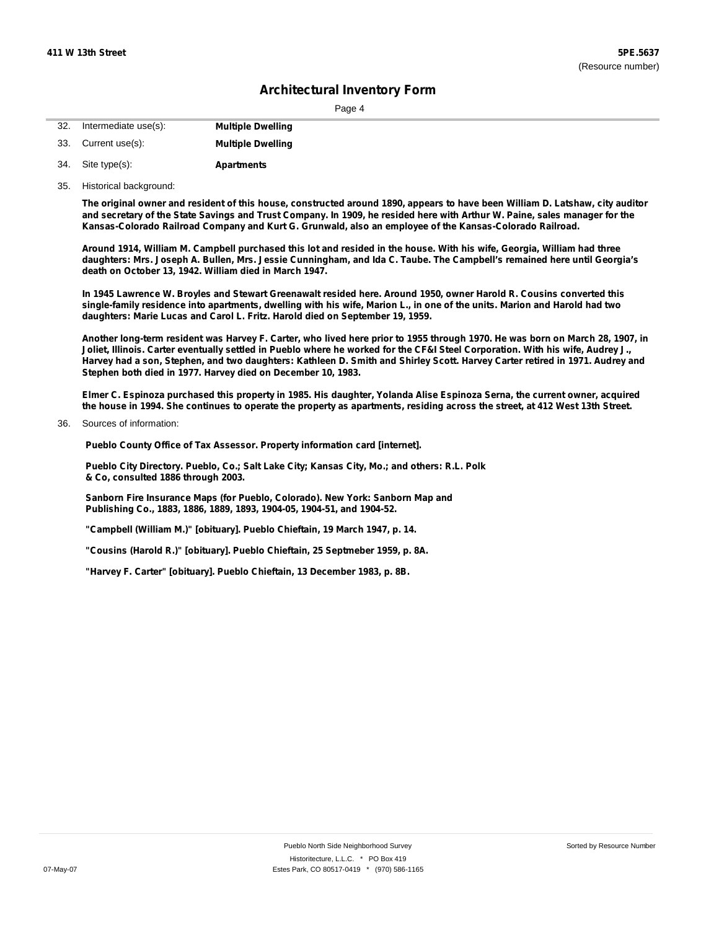| 32. | Intermediate use(s): | <b>Multiple Dwelling</b> |
|-----|----------------------|--------------------------|
|     | 33. Current use(s):  | <b>Multiple Dwelling</b> |
| 34. | Site type(s):        | <b>Apartments</b>        |

35. Historical background:

The original owner and resident of this house, constructed around 1890, appears to have been William D. Latshaw, city auditor and secretary of the State Savings and Trust Company. In 1909, he resided here with Arthur W. Paine, sales manager for the **Kansas-Colorado Railroad Company and Kurt G. Grunwald, also an employee of the Kansas-Colorado Railroad.**

Around 1914, William M. Campbell purchased this lot and resided in the house. With his wife, Georgia, William had three daughters: Mrs. Joseph A. Bullen, Mrs. Jessie Cunningham, and Ida C. Taube. The Campbell's remained here until Georgia's **death on October 13, 1942. William died in March 1947.**

In 1945 Lawrence W. Broyles and Stewart Greenawalt resided here. Around 1950, owner Harold R. Cousins converted this single-family residence into apartments, dwelling with his wife, Marion L., in one of the units. Marion and Harold had two **daughters: Marie Lucas and Carol L. Fritz. Harold died on September 19, 1959.**

Another long-term resident was Harvey F. Carter, who lived here prior to 1955 through 1970. He was born on March 28, 1907, in Joliet, Illinois. Carter eventually settled in Pueblo where he worked for the CF&I Steel Corporation. With his wife, Audrey J., Harvey had a son, Stephen, and two daughters: Kathleen D. Smith and Shirley Scott. Harvey Carter retired in 1971. Audrey and **Stephen both died in 1977. Harvey died on December 10, 1983.**

Elmer C. Espinoza purchased this property in 1985. His daughter, Yolanda Alise Espinoza Serna, the current owner, acquired the house in 1994. She continues to operate the property as apartments, residing across the street, at 412 West 13th Street.

Sources of information: 36.

**Pueblo County Office of Tax Assessor. Property information card [internet].**

**Pueblo City Directory. Pueblo, Co.; Salt Lake City; Kansas City, Mo.; and others: R.L. Polk & Co, consulted 1886 through 2003.**

**Sanborn Fire Insurance Maps (for Pueblo, Colorado). New York: Sanborn Map and Publishing Co., 1883, 1886, 1889, 1893, 1904-05, 1904-51, and 1904-52.**

- **"Campbell (William M.)" [obituary]. Pueblo Chieftain, 19 March 1947, p. 14.**
- **"Cousins (Harold R.)" [obituary]. Pueblo Chieftain, 25 Septmeber 1959, p. 8A.**

**"Harvey F. Carter" [obituary]. Pueblo Chieftain, 13 December 1983, p. 8B.**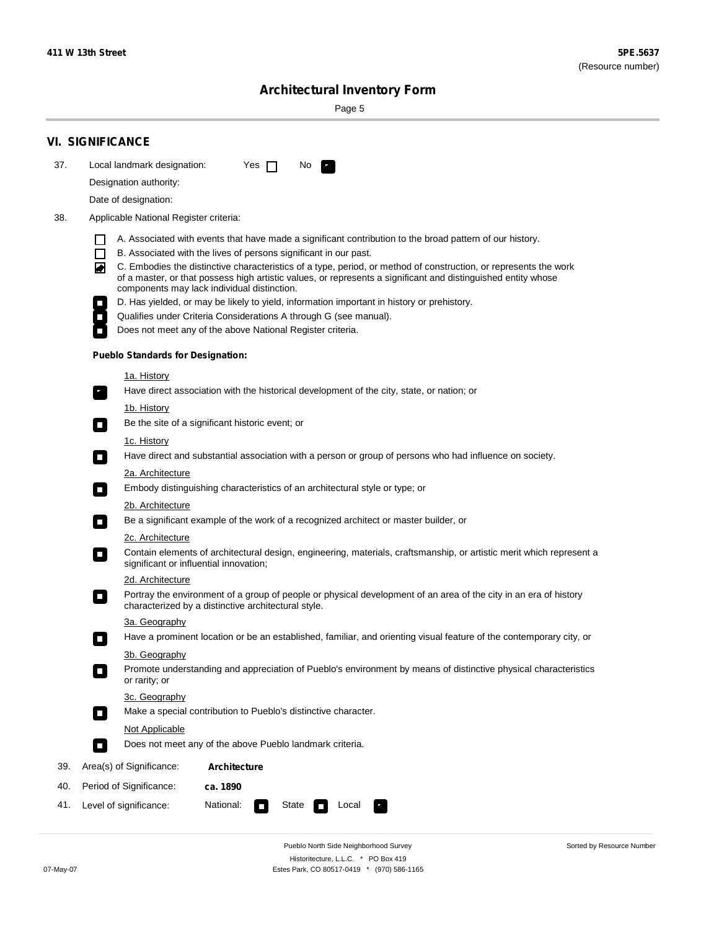۰

Sorted by Resource Number

# **Architectural Inventory Form**

Page 5

|     | <b>VI. SIGNIFICANCE</b>                                                                                                                                                                                                                                                                                                                                                                                                                                                                                                                                                                                                                                                                                                |  |  |  |  |  |  |
|-----|------------------------------------------------------------------------------------------------------------------------------------------------------------------------------------------------------------------------------------------------------------------------------------------------------------------------------------------------------------------------------------------------------------------------------------------------------------------------------------------------------------------------------------------------------------------------------------------------------------------------------------------------------------------------------------------------------------------------|--|--|--|--|--|--|
| 37. | Local landmark designation:<br>Yes $\Box$<br>No.                                                                                                                                                                                                                                                                                                                                                                                                                                                                                                                                                                                                                                                                       |  |  |  |  |  |  |
|     | Designation authority:                                                                                                                                                                                                                                                                                                                                                                                                                                                                                                                                                                                                                                                                                                 |  |  |  |  |  |  |
|     | Date of designation:                                                                                                                                                                                                                                                                                                                                                                                                                                                                                                                                                                                                                                                                                                   |  |  |  |  |  |  |
| 38. | Applicable National Register criteria:                                                                                                                                                                                                                                                                                                                                                                                                                                                                                                                                                                                                                                                                                 |  |  |  |  |  |  |
|     | A. Associated with events that have made a significant contribution to the broad pattern of our history.<br>l.<br>B. Associated with the lives of persons significant in our past.<br>$\Box$<br>C. Embodies the distinctive characteristics of a type, period, or method of construction, or represents the work<br>◙<br>of a master, or that possess high artistic values, or represents a significant and distinguished entity whose<br>components may lack individual distinction.<br>D. Has yielded, or may be likely to yield, information important in history or prehistory.<br>Qualifies under Criteria Considerations A through G (see manual).<br>Does not meet any of the above National Register criteria. |  |  |  |  |  |  |
|     | <b>Pueblo Standards for Designation:</b>                                                                                                                                                                                                                                                                                                                                                                                                                                                                                                                                                                                                                                                                               |  |  |  |  |  |  |
|     | 1a. History<br>Have direct association with the historical development of the city, state, or nation; or                                                                                                                                                                                                                                                                                                                                                                                                                                                                                                                                                                                                               |  |  |  |  |  |  |
|     | <u>1b. History</u><br>Be the site of a significant historic event; or<br>$\mathcal{L}_{\mathcal{A}}$                                                                                                                                                                                                                                                                                                                                                                                                                                                                                                                                                                                                                   |  |  |  |  |  |  |
|     | 1c. History<br>Have direct and substantial association with a person or group of persons who had influence on society.<br>$\blacksquare$                                                                                                                                                                                                                                                                                                                                                                                                                                                                                                                                                                               |  |  |  |  |  |  |
|     | 2a. Architecture<br>Embody distinguishing characteristics of an architectural style or type; or<br>$\overline{\phantom{a}}$                                                                                                                                                                                                                                                                                                                                                                                                                                                                                                                                                                                            |  |  |  |  |  |  |
|     | 2b. Architecture                                                                                                                                                                                                                                                                                                                                                                                                                                                                                                                                                                                                                                                                                                       |  |  |  |  |  |  |
|     | Be a significant example of the work of a recognized architect or master builder, or<br>$\sim$                                                                                                                                                                                                                                                                                                                                                                                                                                                                                                                                                                                                                         |  |  |  |  |  |  |
|     | 2c. Architecture<br>Contain elements of architectural design, engineering, materials, craftsmanship, or artistic merit which represent a<br>О<br>significant or influential innovation;                                                                                                                                                                                                                                                                                                                                                                                                                                                                                                                                |  |  |  |  |  |  |
|     | 2d. Architecture                                                                                                                                                                                                                                                                                                                                                                                                                                                                                                                                                                                                                                                                                                       |  |  |  |  |  |  |
|     | Portray the environment of a group of people or physical development of an area of the city in an era of history<br>$\Box$<br>characterized by a distinctive architectural style.                                                                                                                                                                                                                                                                                                                                                                                                                                                                                                                                      |  |  |  |  |  |  |
|     | 3a. Geography                                                                                                                                                                                                                                                                                                                                                                                                                                                                                                                                                                                                                                                                                                          |  |  |  |  |  |  |
|     | Have a prominent location or be an established, familiar, and orienting visual feature of the contemporary city, or                                                                                                                                                                                                                                                                                                                                                                                                                                                                                                                                                                                                    |  |  |  |  |  |  |
|     | 3b. Geography<br>Promote understanding and appreciation of Pueblo's environment by means of distinctive physical characteristics<br>or rarity; or                                                                                                                                                                                                                                                                                                                                                                                                                                                                                                                                                                      |  |  |  |  |  |  |
|     | 3c. Geography<br>Make a special contribution to Pueblo's distinctive character.<br>$\sim$                                                                                                                                                                                                                                                                                                                                                                                                                                                                                                                                                                                                                              |  |  |  |  |  |  |
|     | Not Applicable                                                                                                                                                                                                                                                                                                                                                                                                                                                                                                                                                                                                                                                                                                         |  |  |  |  |  |  |
|     | Does not meet any of the above Pueblo landmark criteria.<br>$\overline{\phantom{a}}$                                                                                                                                                                                                                                                                                                                                                                                                                                                                                                                                                                                                                                   |  |  |  |  |  |  |
| 39. | Area(s) of Significance:<br><b>Architecture</b>                                                                                                                                                                                                                                                                                                                                                                                                                                                                                                                                                                                                                                                                        |  |  |  |  |  |  |
| 40. | Period of Significance:<br>ca. 1890                                                                                                                                                                                                                                                                                                                                                                                                                                                                                                                                                                                                                                                                                    |  |  |  |  |  |  |
| 41. | National:<br>Level of significance:<br>State<br>Local<br>П<br>м.                                                                                                                                                                                                                                                                                                                                                                                                                                                                                                                                                                                                                                                       |  |  |  |  |  |  |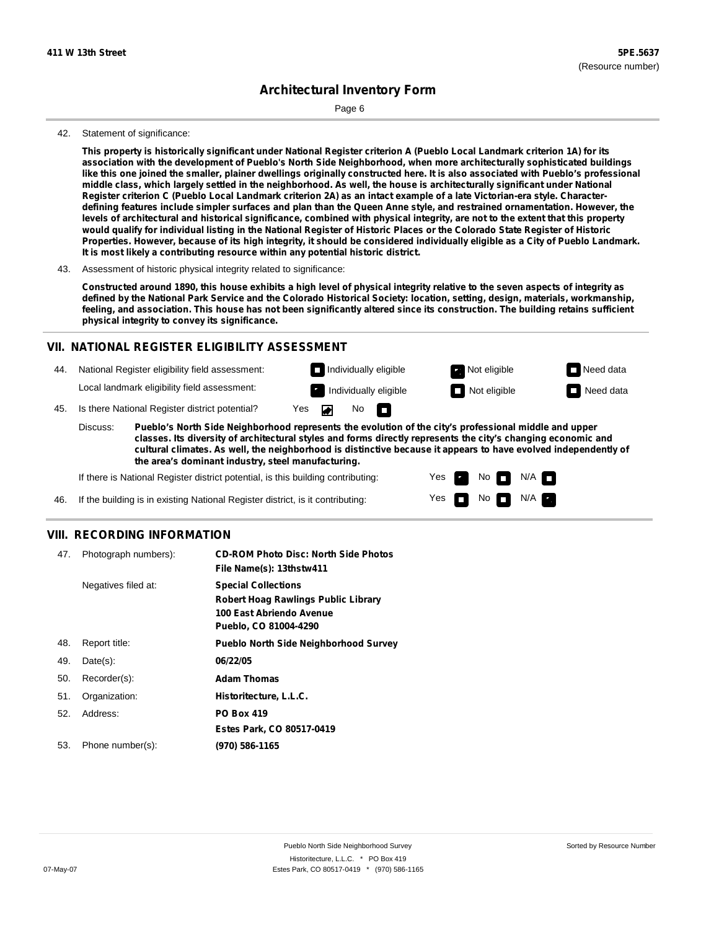Page 6

#### 42. Statement of significance:

This property is historically significant under National Register criterion A (Pueblo Local Landmark criterion 1A) for its **association with the development of Pueblo's North Side Neighborhood, when more architecturally sophisticated buildings** like this one joined the smaller, plainer dwellings originally constructed here. It is also associated with Pueblo's professional middle class, which largely settled in the neighborhood. As well, the house is architecturally significant under National Register criterion C (Pueblo Local Landmark criterion 2A) as an intact example of a late Victorian-era style. Characterdefining features include simpler surfaces and plan than the Queen Anne style, and restrained ornamentation. However, the levels of architectural and historical significance, combined with physical integrity, are not to the extent that this property would qualify for individual listing in the National Register of Historic Places or the Colorado State Register of Historic Properties. However, because of its high integrity, it should be considered individually eligible as a City of Pueblo Landmark. **It is most likely a contributing resource within any potential historic district.**

43. Assessment of historic physical integrity related to significance:

Constructed around 1890, this house exhibits a high level of physical integrity relative to the seven aspects of integrity as defined by the National Park Service and the Colorado Historical Society: location, setting, design, materials, workmanship, feeling, and association. This house has not been significantly altered since its construction. The building retains sufficient **physical integrity to convey its significance.**

### **VII. NATIONAL REGISTER ELIGIBILITY ASSESSMENT**

44. National Register eligibility field assessment:

Local landmark eligibility field assessment:

45. Is there National Register district potential? Yes

**Pueblo's North Side Neighborhood represents the evolution of the city's professional middle and upper classes. Its diversity of architectural styles and forms directly represents the city's changing economic and cultural climates. As well, the neighborhood is distinctive because it appears to have evolved independently of the area's dominant industry, steel manufacturing.** Discuss:

◪

No<sub>D</sub>

Yes Yes No

Individually eligible **Not eligible** Not eligible Need data Individually eligible **Individually eligible** Not eligible **Need data** 

> $N/A$ N/A

If there is National Register district potential, is this building contributing:

If the building is in existing National Register district, is it contributing: 46.

### **VIII. RECORDING INFORMATION**

| 47. | Photograph numbers): | <b>CD-ROM Photo Disc: North Side Photos</b><br>File Name(s): 13thstw411                                                       |
|-----|----------------------|-------------------------------------------------------------------------------------------------------------------------------|
|     | Negatives filed at:  | <b>Special Collections</b><br><b>Robert Hoag Rawlings Public Library</b><br>100 East Abriendo Avenue<br>Pueblo, CO 81004-4290 |
| 48. | Report title:        | <b>Pueblo North Side Neighborhood Survey</b>                                                                                  |
| 49. | $Date(s)$ :          | 06/22/05                                                                                                                      |
| 50. | Recorder(s):         | <b>Adam Thomas</b>                                                                                                            |
| 51. | Organization:        | Historitecture, L.L.C.                                                                                                        |
| 52. | Address:             | <b>PO Box 419</b>                                                                                                             |
|     |                      | Estes Park, CO 80517-0419                                                                                                     |
| 53. | Phone number(s):     | (970) 586-1165                                                                                                                |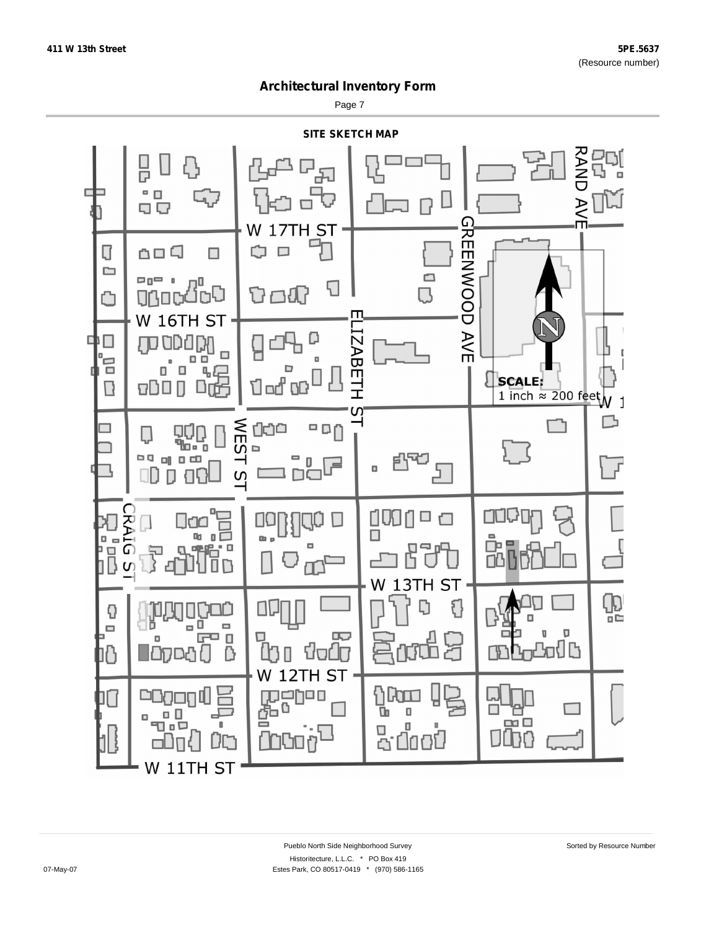Page 7